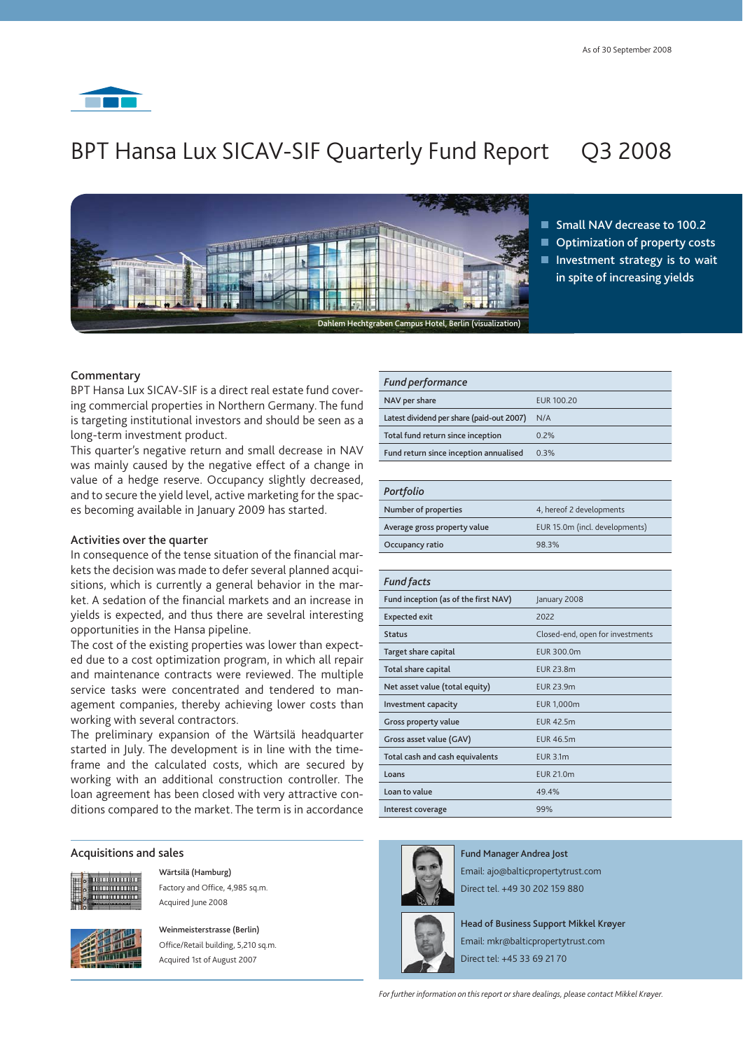

# BPT Hansa Lux SICAV-SIF Quarterly Fund Report Q3 2008



**Small NAV decrease to 100.2 Optimization of property costs Investment strategy is to wait in spite of increasing yields**

## **Commentary**

BPT Hansa Lux SICAV-SIF is a direct real estate fund covering commercial properties in Northern Germany. The fund is targeting institutional investors and should be seen as a long-term investment product.

This quarter's negative return and small decrease in NAV was mainly caused by the negative effect of a change in value of a hedge reserve. Occupancy slightly decreased, and to secure the yield level, active marketing for the spaces becoming available in January 2009 has started.

# **Activities over the quarter**

In consequence of the tense situation of the financial markets the decision was made to defer several planned acquisitions, which is currently a general behavior in the market. A sedation of the financial markets and an increase in yields is expected, and thus there are sevelral interesting opportunities in the Hansa pipeline.

The cost of the existing properties was lower than expected due to a cost optimization program, in which all repair and maintenance contracts were reviewed. The multiple service tasks were concentrated and tendered to management companies, thereby achieving lower costs than working with several contractors.

The preliminary expansion of the Wärtsilä headquarter started in July. The development is in line with the timeframe and the calculated costs, which are secured by working with an additional construction controller. The loan agreement has been closed with very attractive conditions compared to the market. The term is in accordance

#### **Acquisitions and sales**



 **Wärtsilä (Hamburg)** Factory and Office, 4,985 sq.m. Acquired June 2008



 **Weinmeisterstrasse (Berlin)** Office/Retail building, 5,210 sq.m.

Acquired 1st of August 2007

| <b>Fund performance</b>                   |            |
|-------------------------------------------|------------|
| NAV per share                             | EUR 100.20 |
| Latest dividend per share (paid-out 2007) | N/A        |
| Total fund return since inception         | 0.2%       |
| Fund return since inception annualised    | 0.3%       |

#### *Portfolio*

| Number of properties         | 4, hereof 2 developments       |
|------------------------------|--------------------------------|
| Average gross property value | EUR 15.0m (incl. developments) |
| Occupancy ratio              | 98.3%                          |

| <b>Fund facts</b>                    |                                  |
|--------------------------------------|----------------------------------|
| Fund inception (as of the first NAV) | January 2008                     |
| <b>Expected exit</b>                 | 2022                             |
| <b>Status</b>                        | Closed-end, open for investments |
| Target share capital                 | EUR 300.0m                       |
| Total share capital                  | <b>EUR 23.8m</b>                 |
| Net asset value (total equity)       | <b>EUR 23.9m</b>                 |
| Investment capacity                  | <b>EUR 1,000m</b>                |
| Gross property value                 | <b>EUR 42.5m</b>                 |
| Gross asset value (GAV)              | <b>EUR 46.5m</b>                 |
| Total cash and cash equivalents      | EUR 3.1m                         |
| Loans                                | EUR 21.0m                        |
| Loan to value                        | 49.4%                            |
| Interest coverage                    | 99%                              |
|                                      |                                  |



**Fund Manager Andrea Jost** Email: ajo@balticpropertytrust.com Direct tel. +49 30 202 159 880

**Head of Business Support Mikkel Krøyer** Email: mkr@balticpropertytrust.com Direct tel: +45 33 69 21 70

*For further information on this report or share dealings, please contact Mikkel Krøyer.*